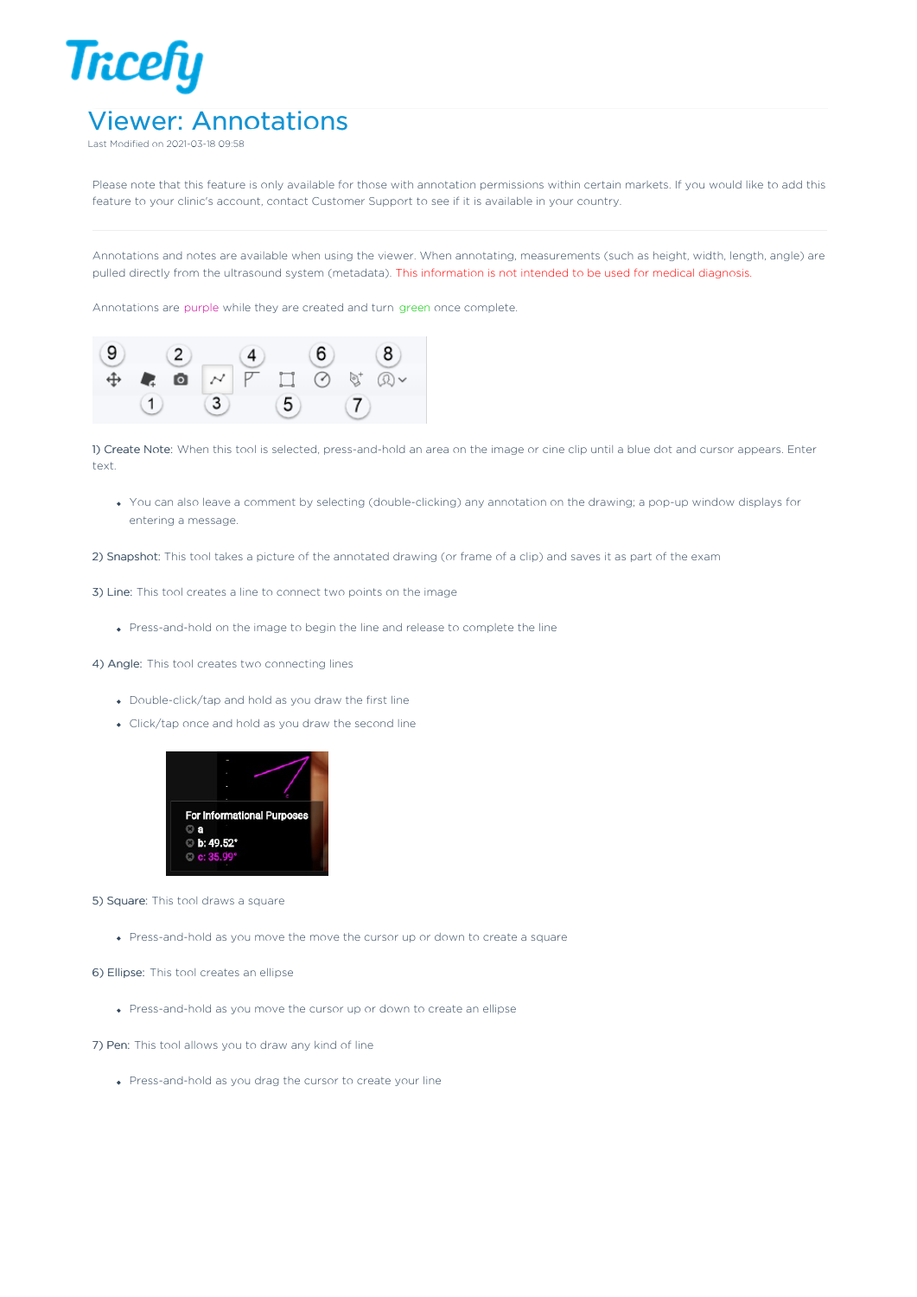

Last Modified on 2021-03-18 09:58

Please note that this feature is only available for those with annotation permissions within certain markets. If you would like to add this feature to your clinic's account, contact Customer Support to see if it is available in your country.

Annotations and notes are available when using the viewer. When annotating, measurements (such as height, width, length, angle) are pulled directly from the ultrasound system (metadata). This information is not intended to be used for medical diagnosis.

Annotations are purple while they are created and turn green once complete.



1) Create Note: When this tool is selected, press-and-hold an area on the image or cine clip until a blue dot and cursor appears. Enter text.

You can also leave a comment by selecting (double-clicking) any annotation on the drawing; a pop-up window displays for entering a message.

2) Snapshot: This tool takes a picture of the annotated drawing (or frame of a clip) and saves it as part of the exam

3) Line: This tool creates a line to connect two points on the image

Press-and-hold on the image to begin the line and release to complete the line

4) Angle: This tool creates two connecting lines

- Double-click/tap and hold as you draw the first line
- Click/tap once and hold as you draw the second line



5) Square: This tool draws a square

Press-and-hold as you move the move the cursor up or down to create a square

6) Ellipse: This tool creates an ellipse

Press-and-hold as you move the cursor up or down to create an ellipse

7) Pen: This tool allows you to draw any kind of line

Press-and-hold as you drag the cursor to create your line